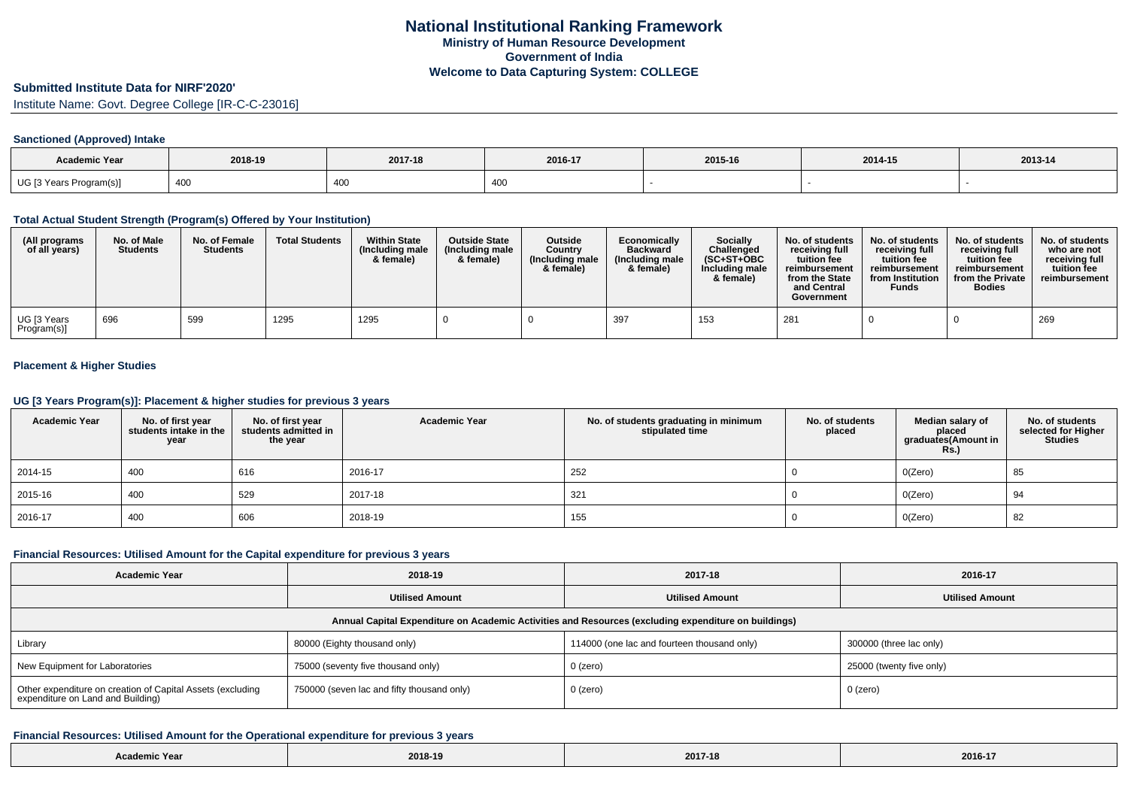### **Submitted Institute Data for NIRF'2020'**

Institute Name: Govt. Degree College [IR-C-C-23016]

#### **Sanctioned (Approved) Intake**

| <b>Academic Year</b>    | 2018-19 | 2017-18 | 2016-17 | 2015-16 | 2014-15 | 2013-14 |
|-------------------------|---------|---------|---------|---------|---------|---------|
| UG [3 Years Program(s)] | 400     | 400     |         |         |         |         |

### **Total Actual Student Strength (Program(s) Offered by Your Institution)**

| (All programs<br>of all years)          | No. of Male<br><b>Students</b> | No. of Female<br><b>Students</b> | <b>Total Students</b> | <b>Within State</b><br>(Including male<br>& female) | <b>Outside State</b><br>(Including male<br>& female) | <b>Outside</b><br>Country<br>(Including male<br>& female) | Economically<br><b>Backward</b><br>(Including male<br>& female) | <b>Socially</b><br>Challenged<br>$(SC+ST+OBC)$<br>Including male<br>& female) | No. of students<br>receiving full<br>tuition fee<br>reimbursement<br>from the State<br>and Central<br>Government | No. of students<br>receiving full<br>tuition fee<br>reimbursement<br>from Institution<br>Funds | No. of students<br>receiving full<br>tuition fee<br>reimbursement<br>from the Private<br><b>Bodies</b> | No. of students<br>who are not<br>receiving full<br>tuition fee<br>reimbursement |
|-----------------------------------------|--------------------------------|----------------------------------|-----------------------|-----------------------------------------------------|------------------------------------------------------|-----------------------------------------------------------|-----------------------------------------------------------------|-------------------------------------------------------------------------------|------------------------------------------------------------------------------------------------------------------|------------------------------------------------------------------------------------------------|--------------------------------------------------------------------------------------------------------|----------------------------------------------------------------------------------|
| <sup>l</sup> UG [3 Years<br>Program(s)] | 696                            | 599                              | 1295                  | 1295                                                |                                                      |                                                           | 397                                                             | 153                                                                           | 28'                                                                                                              |                                                                                                |                                                                                                        | 269                                                                              |

## **Placement & Higher Studies**

### **UG [3 Years Program(s)]: Placement & higher studies for previous 3 years**

| <b>Academic Year</b> | No. of first year<br>students intake in the<br>year | No. of first year<br>students admitted in<br>the year | <b>Academic Year</b> | No. of students graduating in minimum<br>stipulated time | No. of students<br>placed | Median salary of<br>placed<br>graduates(Amount in<br>Rs. | No. of students<br>selected for Higher<br><b>Studies</b> |
|----------------------|-----------------------------------------------------|-------------------------------------------------------|----------------------|----------------------------------------------------------|---------------------------|----------------------------------------------------------|----------------------------------------------------------|
| 2014-15              | 400                                                 | 616                                                   | 2016-17              | 252                                                      |                           | O(Zero)                                                  | 85                                                       |
| 2015-16              | 400                                                 | 529                                                   | 2017-18              | 321                                                      |                           | O(Zero)                                                  | 94                                                       |
| 2016-17              | 400                                                 | 606                                                   | 2018-19              | 155                                                      |                           | O(Zero)                                                  | 82                                                       |

#### **Financial Resources: Utilised Amount for the Capital expenditure for previous 3 years**

| <b>Academic Year</b>                                                                            | 2018-19                                    | 2017-18                                                                                              | 2016-17                  |
|-------------------------------------------------------------------------------------------------|--------------------------------------------|------------------------------------------------------------------------------------------------------|--------------------------|
|                                                                                                 | <b>Utilised Amount</b>                     | <b>Utilised Amount</b>                                                                               | <b>Utilised Amount</b>   |
|                                                                                                 |                                            | Annual Capital Expenditure on Academic Activities and Resources (excluding expenditure on buildings) |                          |
| Library                                                                                         | 80000 (Eighty thousand only)               | 114000 (one lac and fourteen thousand only)                                                          | 300000 (three lac only)  |
| New Equipment for Laboratories                                                                  | 75000 (seventy five thousand only)         | $0$ (zero)                                                                                           | 25000 (twenty five only) |
| Other expenditure on creation of Capital Assets (excluding<br>expenditure on Land and Building) | 750000 (seven lac and fifty thousand only) | 0 (zero)                                                                                             | 0 (zero)                 |

#### **Financial Resources: Utilised Amount for the Operational expenditure for previous 3 years**

| Academic Year | 2018-19 | 2017-18 | 2016-17 |
|---------------|---------|---------|---------|
|---------------|---------|---------|---------|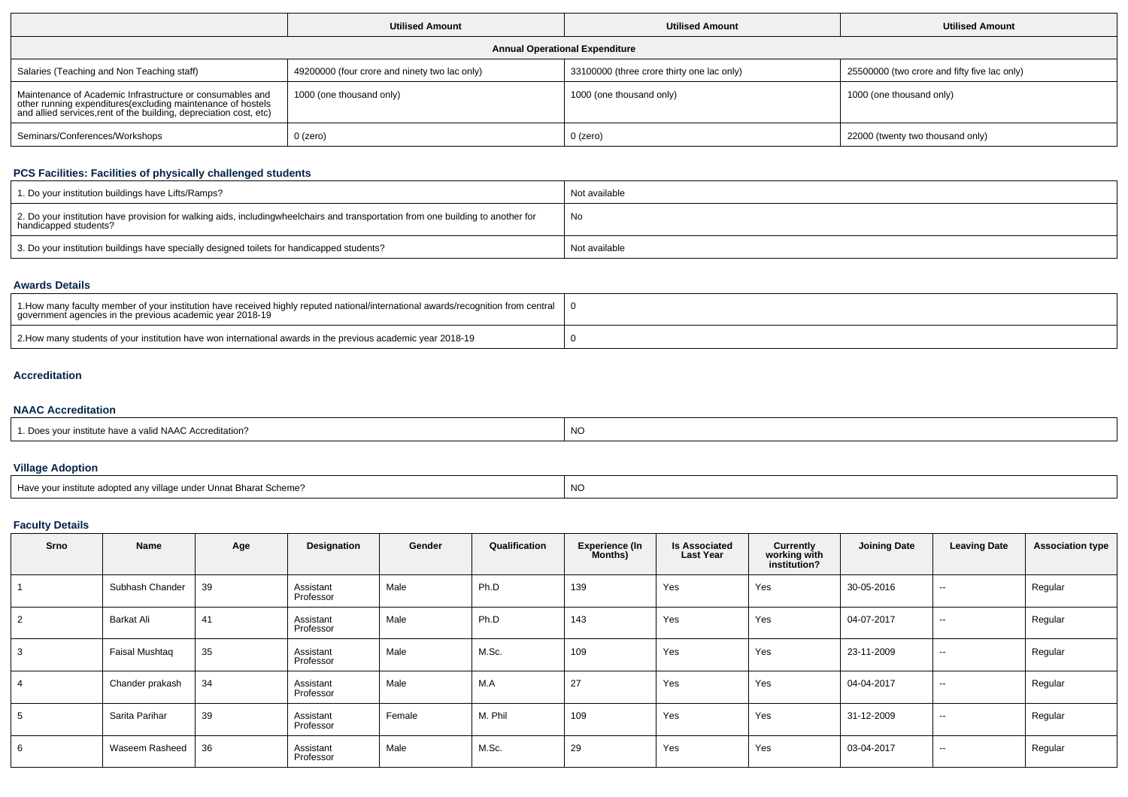|                                                                                                                                                                                               | <b>Utilised Amount</b>                        | <b>Utilised Amount</b>                     | <b>Utilised Amount</b>                       |
|-----------------------------------------------------------------------------------------------------------------------------------------------------------------------------------------------|-----------------------------------------------|--------------------------------------------|----------------------------------------------|
|                                                                                                                                                                                               |                                               | <b>Annual Operational Expenditure</b>      |                                              |
| Salaries (Teaching and Non Teaching staff)                                                                                                                                                    | 49200000 (four crore and ninety two lac only) | 33100000 (three crore thirty one lac only) | 25500000 (two crore and fifty five lac only) |
| Maintenance of Academic Infrastructure or consumables and<br>other running expenditures(excluding maintenance of hostels<br>and allied services,rent of the building, depreciation cost, etc) | 1000 (one thousand only)                      | 1000 (one thousand only)                   | 1000 (one thousand only)                     |
| Seminars/Conferences/Workshops                                                                                                                                                                | $0$ (zero)                                    | $0$ (zero)                                 | 22000 (twenty two thousand only)             |

## **PCS Facilities: Facilities of physically challenged students**

| 1. Do your institution buildings have Lifts/Ramps?                                                                                                        | Not available |
|-----------------------------------------------------------------------------------------------------------------------------------------------------------|---------------|
| 2. Do your institution have provision for walking aids, includingwheelchairs and transportation from one building to another for<br>handicapped students? | No            |
| 3. Do your institution buildings have specially designed toilets for handicapped students?                                                                | Not available |

### **Awards Details**

| 1. How many faculty member of your institution have received highly reputed national/international awards/recognition from central<br>government agencies in the previous academic year 2018-19 |  |
|-------------------------------------------------------------------------------------------------------------------------------------------------------------------------------------------------|--|
| 2. How many students of your institution have won international awards in the previous academic year 2018-19                                                                                    |  |

# **Accreditation**

# **NAAC Accreditation**

|  | s your institute have a valid NAAC Accreditation?<br>Does | $\overline{1}$<br>NO |
|--|-----------------------------------------------------------|----------------------|
|--|-----------------------------------------------------------|----------------------|

# **Village Adoption**

| Have your institute adopted any village under Unnat Bharat Scheme? | $\overline{M}$<br>יצו |
|--------------------------------------------------------------------|-----------------------|
|                                                                    |                       |

# **Faculty Details**

| Srno | Name            | Age | Designation            | Gender | Qualification | <b>Experience (In</b><br>Months) | <b>Is Associated</b><br><b>Last Year</b> | Currently<br>working with<br>institution? | <b>Joining Date</b> | <b>Leaving Date</b> | <b>Association type</b> |
|------|-----------------|-----|------------------------|--------|---------------|----------------------------------|------------------------------------------|-------------------------------------------|---------------------|---------------------|-------------------------|
|      | Subhash Chander | 39  | Assistant<br>Professor | Male   | Ph.D          | 139                              | Yes                                      | Yes                                       | 30-05-2016          | $\sim$              | Regular                 |
|      | Barkat Ali      | 41  | Assistant<br>Professor | Male   | Ph.D          | 143                              | Yes                                      | Yes                                       | 04-07-2017          | $\sim$              | Regular                 |
| 3    | Faisal Mushtag  | 35  | Assistant<br>Professor | Male   | M.Sc.         | 109                              | Yes                                      | Yes                                       | 23-11-2009          | $\sim$              | Regular                 |
|      | Chander prakash | 34  | Assistant<br>Professor | Male   | M.A           | 27                               | Yes                                      | Yes                                       | 04-04-2017          | $\sim$              | Regular                 |
| - 33 | Sarita Parihar  | 39  | Assistant<br>Professor | Female | M. Phil       | 109                              | Yes                                      | Yes                                       | 31-12-2009          | $\sim$              | Regular                 |
| 6    | Waseem Rasheed  | 36  | Assistant<br>Professor | Male   | M.Sc.         | 29                               | Yes                                      | Yes                                       | 03-04-2017          | $\sim$              | Regular                 |